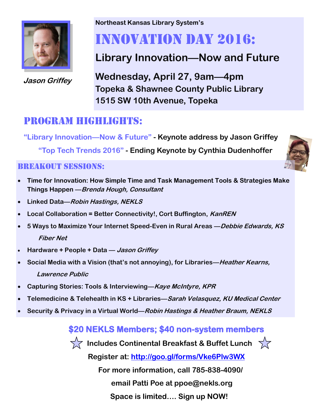

**Jason Griffey**

**Northeast Kansas Library System's**

# Innovation Day 2016:

# **Library Innovation—Now and Future**

**Wednesday, April 27, 9am—4pm Topeka & Shawnee County Public Library 1515 SW 10th Avenue, Topeka**

## Program highlights:

**"Library Innovation—Now & Future" - Keynote address by Jason Griffey**

 **"Top Tech Trends 2016" - Ending Keynote by Cynthia Dudenhoffer**

#### **BREAKOUT SESSIONS:**

- **Time for Innovation: How Simple Time and Task Management Tools & Strategies Make Things Happen —Brenda Hough, Consultant**
- **Linked Data—Robin Hastings, NEKLS**
- **Local Collaboration = Better Connectivity!, Cort Buffington, KanREN**
- **5 Ways to Maximize Your Internet Speed-Even in Rural Areas —Debbie Edwards, KS Fiber Net**
- **Hardware + People + Data — Jason Griffey**
- **Social Media with a Vision (that's not annoying), for Libraries—Heather Kearns, Lawrence Public**
- **Capturing Stories: Tools & Interviewing—Kaye McIntyre, KPR**
- **Telemedicine & Telehealth in KS + Libraries—Sarah Velasquez, KU Medical Center**
- **Security & Privacy in a Virtual World—Robin Hastings & Heather Braum, NEKLS**

### **\$20 NEKLS Members; \$40 non-system members**



**TA Includes Continental Breakfast & Buffet Lunch** 



**Register at:<http://goo.gl/forms/Vke6Plw3WX>**

 **For more information, call 785-838-4090/** 

#### **email Patti Poe at ppoe@nekls.org**

 **Space is limited…. Sign up NOW!**